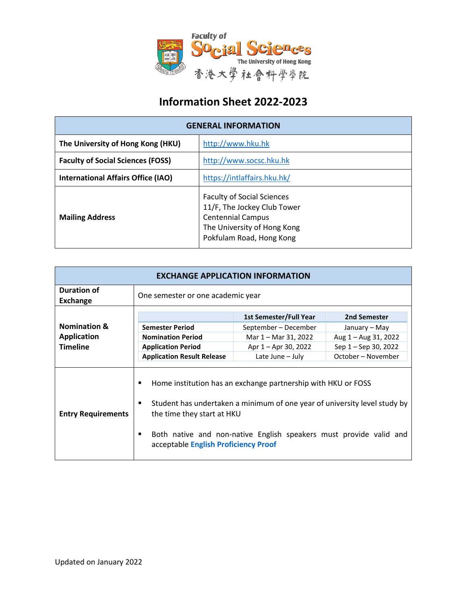

## **Information Sheet 2022-2023**

| <b>GENERAL INFORMATION</b>                |                                                                                                                                                         |  |
|-------------------------------------------|---------------------------------------------------------------------------------------------------------------------------------------------------------|--|
| The University of Hong Kong (HKU)         | http://www.hku.hk                                                                                                                                       |  |
| <b>Faculty of Social Sciences (FOSS)</b>  | http://www.socsc.hku.hk                                                                                                                                 |  |
| <b>International Affairs Office (IAO)</b> | https://intlaffairs.hku.hk/                                                                                                                             |  |
| <b>Mailing Address</b>                    | <b>Faculty of Social Sciences</b><br>11/F, The Jockey Club Tower<br><b>Centennial Campus</b><br>The University of Hong Kong<br>Pokfulam Road, Hong Kong |  |

| <b>EXCHANGE APPLICATION INFORMATION</b> |                                                                              |                                                                                                                                                                                                                  |                      |
|-----------------------------------------|------------------------------------------------------------------------------|------------------------------------------------------------------------------------------------------------------------------------------------------------------------------------------------------------------|----------------------|
| <b>Duration of</b><br><b>Exchange</b>   | One semester or one academic year                                            |                                                                                                                                                                                                                  |                      |
|                                         |                                                                              | <b>1st Semester/Full Year</b>                                                                                                                                                                                    | 2nd Semester         |
| <b>Nomination &amp;</b>                 | <b>Semester Period</b>                                                       | September - December                                                                                                                                                                                             | January – May        |
| <b>Application</b>                      | <b>Nomination Period</b>                                                     | Mar 1 - Mar 31, 2022                                                                                                                                                                                             | Aug 1 - Aug 31, 2022 |
| <b>Timeline</b>                         | <b>Application Period</b>                                                    | Apr 1 – Apr 30, 2022                                                                                                                                                                                             | Sep 1 – Sep 30, 2022 |
|                                         | <b>Application Result Release</b>                                            | Late June - July                                                                                                                                                                                                 | October – November   |
| <b>Entry Requirements</b>               | п<br>٠<br>the time they start at HKU<br>acceptable English Proficiency Proof | Home institution has an exchange partnership with HKU or FOSS<br>Student has undertaken a minimum of one year of university level study by<br>Both native and non-native English speakers must provide valid and |                      |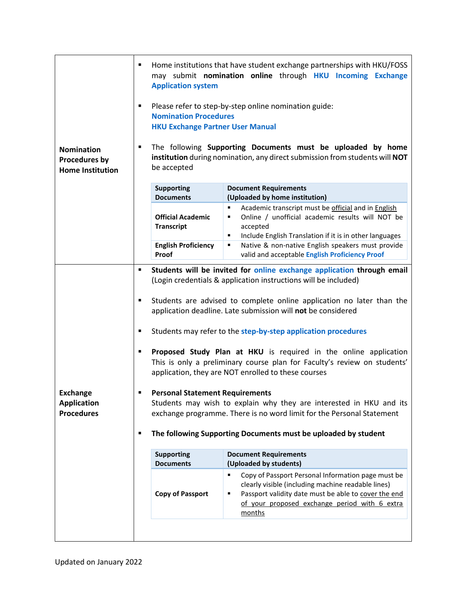|                                                                                                                                                | ٠                                                                               | <b>Application system</b>                                                                                                                                                                                                                                | Home institutions that have student exchange partnerships with HKU/FOSS<br>may submit nomination online through HKU Incoming Exchange                                                                                                 |  |
|------------------------------------------------------------------------------------------------------------------------------------------------|---------------------------------------------------------------------------------|----------------------------------------------------------------------------------------------------------------------------------------------------------------------------------------------------------------------------------------------------------|---------------------------------------------------------------------------------------------------------------------------------------------------------------------------------------------------------------------------------------|--|
|                                                                                                                                                | ٠                                                                               | <b>Nomination Procedures</b><br><b>HKU Exchange Partner User Manual</b>                                                                                                                                                                                  | Please refer to step-by-step online nomination guide:                                                                                                                                                                                 |  |
| <b>Nomination</b><br><b>Procedures by</b><br><b>Home Institution</b>                                                                           |                                                                                 | The following Supporting Documents must be uploaded by home<br>institution during nomination, any direct submission from students will NOT<br>be accepted                                                                                                |                                                                                                                                                                                                                                       |  |
|                                                                                                                                                |                                                                                 | <b>Supporting</b><br><b>Documents</b>                                                                                                                                                                                                                    | <b>Document Requirements</b><br>(Uploaded by home institution)                                                                                                                                                                        |  |
|                                                                                                                                                |                                                                                 | <b>Official Academic</b><br><b>Transcript</b>                                                                                                                                                                                                            | Academic transcript must be official and in English<br>٠<br>Online / unofficial academic results will NOT be<br>٠<br>accepted<br>Include English Translation if it is in other languages<br>٠                                         |  |
|                                                                                                                                                |                                                                                 | <b>English Proficiency</b><br>Proof                                                                                                                                                                                                                      | Native & non-native English speakers must provide<br>٠<br>valid and acceptable English Proficiency Proof                                                                                                                              |  |
| Students will be invited for online exchange application through email<br>٠<br>(Login credentials & application instructions will be included) |                                                                                 |                                                                                                                                                                                                                                                          |                                                                                                                                                                                                                                       |  |
|                                                                                                                                                | ٠                                                                               |                                                                                                                                                                                                                                                          | Students are advised to complete online application no later than the<br>application deadline. Late submission will not be considered                                                                                                 |  |
|                                                                                                                                                | Students may refer to the step-by-step application procedures<br>$\blacksquare$ |                                                                                                                                                                                                                                                          |                                                                                                                                                                                                                                       |  |
|                                                                                                                                                | ٠                                                                               |                                                                                                                                                                                                                                                          | Proposed Study Plan at HKU is required in the online application<br>This is only a preliminary course plan for Faculty's review on students'<br>application, they are NOT enrolled to these courses                                   |  |
| <b>Exchange</b><br><b>Application</b><br><b>Procedures</b>                                                                                     | п                                                                               | <b>Personal Statement Requirements</b><br>Students may wish to explain why they are interested in HKU and its<br>exchange programme. There is no word limit for the Personal Statement<br>The following Supporting Documents must be uploaded by student |                                                                                                                                                                                                                                       |  |
|                                                                                                                                                | ٠                                                                               |                                                                                                                                                                                                                                                          |                                                                                                                                                                                                                                       |  |
|                                                                                                                                                |                                                                                 | <b>Supporting</b><br><b>Documents</b>                                                                                                                                                                                                                    | <b>Document Requirements</b><br>(Uploaded by students)                                                                                                                                                                                |  |
|                                                                                                                                                |                                                                                 | <b>Copy of Passport</b>                                                                                                                                                                                                                                  | Copy of Passport Personal Information page must be<br>٠<br>clearly visible (including machine readable lines)<br>Passport validity date must be able to cover the end<br>٠<br>of your proposed exchange period with 6 extra<br>months |  |
|                                                                                                                                                |                                                                                 |                                                                                                                                                                                                                                                          |                                                                                                                                                                                                                                       |  |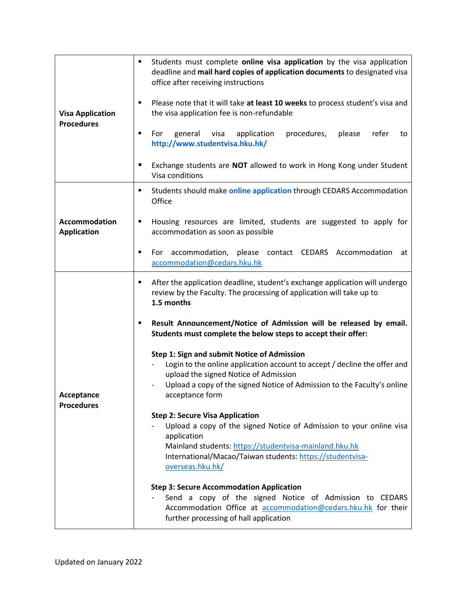| <b>Visa Application</b><br><b>Procedures</b> | Students must complete online visa application by the visa application<br>$\blacksquare$<br>deadline and mail hard copies of application documents to designated visa<br>office after receiving instructions                                                    |
|----------------------------------------------|-----------------------------------------------------------------------------------------------------------------------------------------------------------------------------------------------------------------------------------------------------------------|
|                                              | Please note that it will take at least 10 weeks to process student's visa and<br>٠<br>the visa application fee is non-refundable                                                                                                                                |
|                                              | For<br>general<br>visa<br>application<br>procedures,<br>please<br>refer<br>to<br>http://www.studentvisa.hku.hk/                                                                                                                                                 |
|                                              | Exchange students are NOT allowed to work in Hong Kong under Student<br>п<br>Visa conditions                                                                                                                                                                    |
|                                              | Students should make online application through CEDARS Accommodation<br>٠<br>Office                                                                                                                                                                             |
| <b>Accommodation</b><br><b>Application</b>   | Housing resources are limited, students are suggested to apply for<br>٠<br>accommodation as soon as possible                                                                                                                                                    |
|                                              | For accommodation, please contact CEDARS Accommodation<br>at<br>accommodation@cedars.hku.hk                                                                                                                                                                     |
|                                              | After the application deadline, student's exchange application will undergo<br>٠<br>review by the Faculty. The processing of application will take up to<br>1.5 months                                                                                          |
|                                              | Result Announcement/Notice of Admission will be released by email.<br>٠<br>Students must complete the below steps to accept their offer:                                                                                                                        |
| Acceptance                                   | Step 1: Sign and submit Notice of Admission<br>Login to the online application account to accept / decline the offer and<br>upload the signed Notice of Admission<br>Upload a copy of the signed Notice of Admission to the Faculty's online<br>acceptance form |
| <b>Procedures</b>                            | <b>Step 2: Secure Visa Application</b>                                                                                                                                                                                                                          |
|                                              | Upload a copy of the signed Notice of Admission to your online visa<br>application                                                                                                                                                                              |
|                                              | Mainland students: https://studentvisa-mainland.hku.hk<br>International/Macao/Taiwan students: https://studentvisa-<br>overseas.hku.hk/                                                                                                                         |
|                                              | <b>Step 3: Secure Accommodation Application</b><br>Send a copy of the signed Notice of Admission to CEDARS<br>Accommodation Office at accommodation@cedars.hku.hk for their<br>further processing of hall application                                           |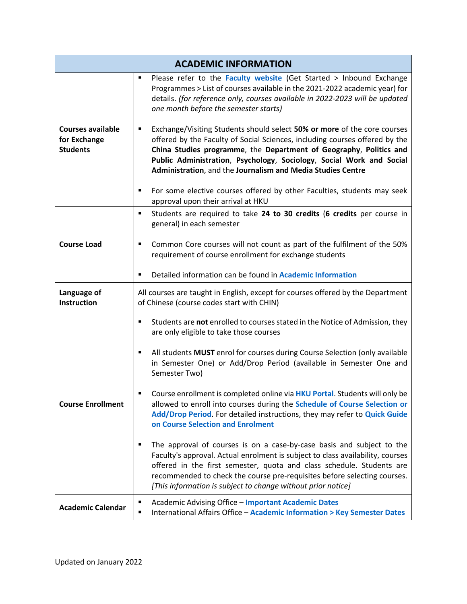| <b>ACADEMIC INFORMATION</b>                                 |                                                                                                                                                                                                                                                                                                                                                                                   |
|-------------------------------------------------------------|-----------------------------------------------------------------------------------------------------------------------------------------------------------------------------------------------------------------------------------------------------------------------------------------------------------------------------------------------------------------------------------|
|                                                             | Please refer to the Faculty website (Get Started > Inbound Exchange<br>п<br>Programmes > List of courses available in the 2021-2022 academic year) for<br>details. (for reference only, courses available in 2022-2023 will be updated<br>one month before the semester starts)                                                                                                   |
| <b>Courses available</b><br>for Exchange<br><b>Students</b> | Exchange/Visiting Students should select 50% or more of the core courses<br>٠<br>offered by the Faculty of Social Sciences, including courses offered by the<br>China Studies programme, the Department of Geography, Politics and<br>Public Administration, Psychology, Sociology, Social Work and Social<br>Administration, and the Journalism and Media Studies Centre         |
|                                                             | For some elective courses offered by other Faculties, students may seek<br>٠<br>approval upon their arrival at HKU                                                                                                                                                                                                                                                                |
|                                                             | Students are required to take 24 to 30 credits (6 credits per course in<br>п<br>general) in each semester                                                                                                                                                                                                                                                                         |
| <b>Course Load</b>                                          | Common Core courses will not count as part of the fulfilment of the 50%<br>٠<br>requirement of course enrollment for exchange students                                                                                                                                                                                                                                            |
|                                                             | Detailed information can be found in Academic Information<br>п                                                                                                                                                                                                                                                                                                                    |
| Language of<br>Instruction                                  | All courses are taught in English, except for courses offered by the Department<br>of Chinese (course codes start with CHIN)                                                                                                                                                                                                                                                      |
|                                                             | Students are not enrolled to courses stated in the Notice of Admission, they<br>٠<br>are only eligible to take those courses                                                                                                                                                                                                                                                      |
| <b>Course Enrollment</b>                                    | All students MUST enrol for courses during Course Selection (only available<br>٠<br>in Semester One) or Add/Drop Period (available in Semester One and<br>Semester Two)                                                                                                                                                                                                           |
|                                                             | Course enrollment is completed online via HKU Portal. Students will only be<br>allowed to enroll into courses during the Schedule of Course Selection or<br>Add/Drop Period. For detailed instructions, they may refer to Quick Guide<br>on Course Selection and Enrolment                                                                                                        |
|                                                             | The approval of courses is on a case-by-case basis and subject to the<br>п<br>Faculty's approval. Actual enrolment is subject to class availability, courses<br>offered in the first semester, quota and class schedule. Students are<br>recommended to check the course pre-requisites before selecting courses.<br>[This information is subject to change without prior notice] |
| <b>Academic Calendar</b>                                    | <b>Academic Advising Office - Important Academic Dates</b><br>п<br>International Affairs Office - Academic Information > Key Semester Dates<br>п                                                                                                                                                                                                                                  |